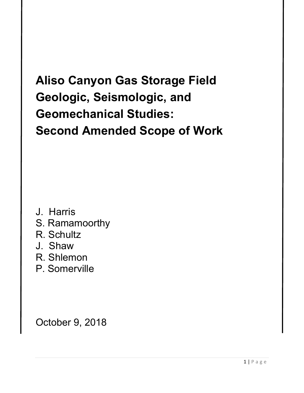# **Aliso Canyon Gas Storage Field Geologic, Seismologic, and Geomechanical Studies: Second Amended Scope of Work**

- J. Harris
- S. Ramamoorthy
- R. Schultz
- J. Shaw
- R. Shlemon
- P. Somerville

October 9, 2018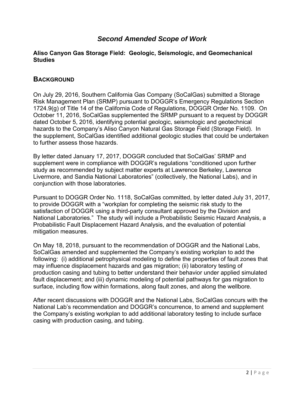# *Second Amended Scope of Work*

#### **Aliso Canyon Gas Storage Field: Geologic, Seismologic, and Geomechanical Studies**

# **BACKGROUND**

On July 29, 2016, Southern California Gas Company (SoCalGas) submitted a Storage Risk Management Plan (SRMP) pursuant to DOGGR's Emergency Regulations Section 1724.9(g) of Title 14 of the California Code of Regulations, DOGGR Order No. 1109. On October 11, 2016, SoCalGas supplemented the SRMP pursuant to a request by DOGGR dated October 5, 2016, identifying potential geologic, seismologic and geotechnical hazards to the Company's Aliso Canyon Natural Gas Storage Field (Storage Field). In the supplement, SoCalGas identified additional geologic studies that could be undertaken to further assess those hazards.

By letter dated January 17, 2017, DOGGR concluded that SoCalGas' SRMP and supplement were in compliance with DOGGR's regulations "conditioned upon further study as recommended by subject matter experts at Lawrence Berkeley, Lawrence Livermore, and Sandia National Laboratories" (collectively, the National Labs), and in conjunction with those laboratories.

Pursuant to DOGGR Order No. 1118, SoCalGas committed, by letter dated July 31, 2017, to provide DOGGR with a "workplan for completing the seismic risk study to the satisfaction of DOGGR using a third-party consultant approved by the Division and National Laboratories." The study will include a Probabilistic Seismic Hazard Analysis, a Probabilistic Fault Displacement Hazard Analysis, and the evaluation of potential mitigation measures.

On May 18, 2018, pursuant to the recommendation of DOGGR and the National Labs, SoCalGas amended and supplemented the Company's existing workplan to add the following: (i) additional petrophysical modeling to define the properties of fault zones that may influence displacement hazards and gas migration; (ii) laboratory testing of production casing and tubing to better understand their behavior under applied simulated fault displacement; and (iii) dynamic modeling of potential pathways for gas migration to surface, including flow within formations, along fault zones, and along the wellbore.

After recent discussions with DOGGR and the National Labs, SoCalGas concurs with the National Lab's recommendation and DOGGR's concurrence, to amend and supplement the Company's existing workplan to add additional laboratory testing to include surface casing with production casing, and tubing.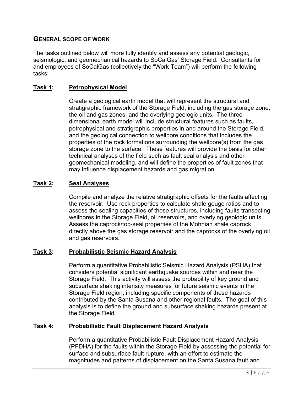# **GENERAL SCOPE OF WORK**

The tasks outlined below will more fully identify and assess any potential geologic, seismologic, and geomechanical hazards to SoCalGas' Storage Field. Consultants for and employees of SoCalGas (collectively the "Work Team") will perform the following tasks:

# **Task 1: Petrophysical Model**

Create a geological earth model that will represent the structural and stratigraphic framework of the Storage Field, including the gas storage zone, the oil and gas zones, and the overlying geologic units. The threedimensional earth model will include structural features such as faults, petrophysical and stratigraphic properties in and around the Storage Field, and the geological connection to wellbore conditions that includes the properties of the rock formations surrounding the wellbore(s) from the gas storage zone to the surface. These features will provide the basis for other technical analyses of the field such as fault seal analysis and other geomechanical modeling, and will define the properties of fault zones that may influence displacement hazards and gas migration.

# **Task 2: Seal Analyses**

Compile and analyze the relative stratigraphic offsets for the faults affecting the reservoir. Use rock properties to calculate shale gouge ratios and to assess the sealing capacities of these structures, including faults transecting wellbores in the Storage Field, oil reservoirs, and overlying geologic units. Assess the caprock/top-seal properties of the Mohnian shale caprock directly above the gas storage reservoir and the caprocks of the overlying oil and gas reservoirs.

#### **Task 3: Probabilistic Seismic Hazard Analysis**

Perform a quantitative Probabilistic Seismic Hazard Analysis (PSHA) that considers potential significant earthquake sources within and near the Storage Field. This activity will assess the probability of key ground and subsurface shaking intensity measures for future seismic events in the Storage Field region, including specific components of these hazards contributed by the Santa Susana and other regional faults. The goal of this analysis is to define the ground and subsurface shaking hazards present at the Storage Field.

#### **Task 4: Probabilistic Fault Displacement Hazard Analysis**

Perform a quantitative Probabilistic Fault Displacement Hazard Analysis (PFDHA) for the faults within the Storage Field by assessing the potential for surface and subsurface fault rupture, with an effort to estimate the magnitudes and patterns of displacement on the Santa Susana fault and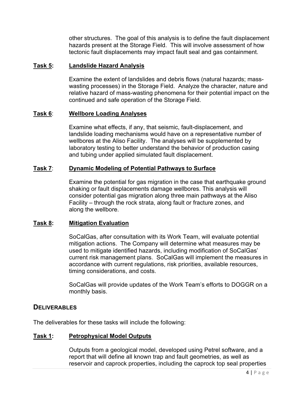other structures. The goal of this analysis is to define the fault displacement hazards present at the Storage Field. This will involve assessment of how tectonic fault displacements may impact fault seal and gas containment.

#### **Task 5: Landslide Hazard Analysis**

 Examine the extent of landslides and debris flows (natural hazards; mass wasting processes) in the Storage Field. Analyze the character, nature and relative hazard of mass-wasting phenomena for their potential impact on the continued and safe operation of the Storage Field.

#### **Task 6**: **Wellbore Loading Analyses**

 Examine what effects, if any, that seismic, fault-displacement, and landslide loading mechanisms would have on a representative number of wellbores at the Aliso Facility. The analyses will be supplemented by laboratory testing to better understand the behavior of production casing and tubing under applied simulated fault displacement.

#### **Task 7**: **Dynamic Modeling of Potential Pathways to Surface**

 Examine the potential for gas migration in the case that earthquake ground shaking or fault displacements damage wellbores. This analysis will consider potential gas migration along three main pathways at the Aliso Facility – through the rock strata, along fault or fracture zones, and along the wellbore.

#### **Task 8: Mitigation Evaluation**

SoCalGas, after consultation with its Work Team, will evaluate potential mitigation actions. The Company will determine what measures may be used to mitigate identified hazards, including modification of SoCalGas' current risk management plans. SoCalGas will implement the measures in accordance with current regulations, risk priorities, available resources, timing considerations, and costs.

SoCalGas will provide updates of the Work Team's efforts to DOGGR on a monthly basis.

#### **DELIVERABLES**

The deliverables for these tasks will include the following:

#### **Task 1: Petrophysical Model Outputs**

Outputs from a geological model, developed using Petrel software, and a report that will define all known trap and fault geometries, as well as reservoir and caprock properties, including the caprock top seal properties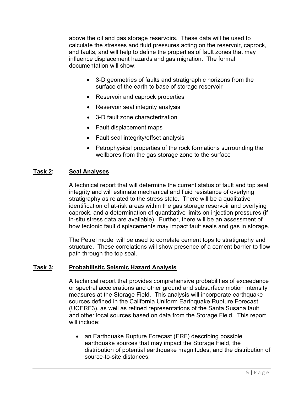above the oil and gas storage reservoirs. These data will be used to calculate the stresses and fluid pressures acting on the reservoir, caprock, and faults, and will help to define the properties of fault zones that may influence displacement hazards and gas migration. The formal documentation will show:

- 3-D geometries of faults and stratigraphic horizons from the surface of the earth to base of storage reservoir
- Reservoir and caprock properties
- Reservoir seal integrity analysis
- 3-D fault zone characterization
- Fault displacement maps
- Fault seal integrity/offset analysis
- Petrophysical properties of the rock formations surrounding the wellbores from the gas storage zone to the surface

#### **Task 2: Seal Analyses**

A technical report that will determine the current status of fault and top seal integrity and will estimate mechanical and fluid resistance of overlying stratigraphy as related to the stress state. There will be a qualitative identification of at-risk areas within the gas storage reservoir and overlying caprock, and a determination of quantitative limits on injection pressures (if in-situ stress data are available). Further, there will be an assessment of how tectonic fault displacements may impact fault seals and gas in storage.

The Petrel model will be used to correlate cement tops to stratigraphy and structure. These correlations will show presence of a cement barrier to flow path through the top seal.

#### **Task 3: Probabilistic Seismic Hazard Analysis**

 A technical report that provides comprehensive probabilities of exceedance or spectral accelerations and other ground and subsurface motion intensity measures at the Storage Field. This analysis will incorporate earthquake sources defined in the California Uniform Earthquake Rupture Forecast (UCERF3), as well as refined representations of the Santa Susana fault and other local sources based on data from the Storage Field. This report will include:

• an Earthquake Rupture Forecast (ERF) describing possible earthquake sources that may impact the Storage Field, the distribution of potential earthquake magnitudes, and the distribution of source-to-site distances;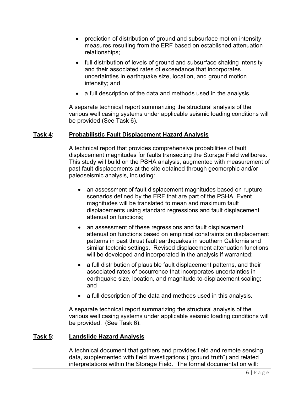- prediction of distribution of ground and subsurface motion intensity measures resulting from the ERF based on established attenuation relationships;
- full distribution of levels of ground and subsurface shaking intensity and their associated rates of exceedance that incorporates uncertainties in earthquake size, location, and ground motion intensity; and
- a full description of the data and methods used in the analysis.

A separate technical report summarizing the structural analysis of the various well casing systems under applicable seismic loading conditions will be provided (See Task 6).

#### **Task 4: Probabilistic Fault Displacement Hazard Analysis**

A technical report that provides comprehensive probabilities of fault displacement magnitudes for faults transecting the Storage Field wellbores. This study will build on the PSHA analysis, augmented with measurement of past fault displacements at the site obtained through geomorphic and/or paleoseismic analysis, including:

- an assessment of fault displacement magnitudes based on rupture scenarios defined by the ERF that are part of the PSHA. Event magnitudes will be translated to mean and maximum fault displacements using standard regressions and fault displacement attenuation functions;
- an assessment of these regressions and fault displacement attenuation functions based on empirical constraints on displacement patterns in past thrust fault earthquakes in southern California and similar tectonic settings. Revised displacement attenuation functions will be developed and incorporated in the analysis if warranted;
- a full distribution of plausible fault displacement patterns, and their associated rates of occurrence that incorporates uncertainties in earthquake size, location, and magnitude-to-displacement scaling; and
- a full description of the data and methods used in this analysis.

A separate technical report summarizing the structural analysis of the various well casing systems under applicable seismic loading conditions will be provided. (See Task 6).

#### **Task 5: Landslide Hazard Analysis**

A technical document that gathers and provides field and remote sensing data, supplemented with field investigations ("ground truth") and related interpretations within the Storage Field. The formal documentation will: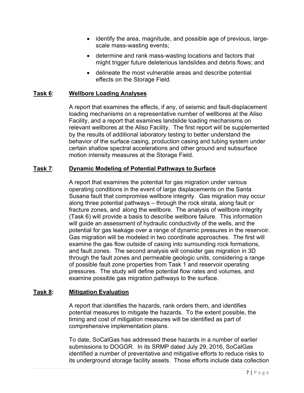- identify the area, magnitude, and possible age of previous, largescale mass-wasting events;
- determine and rank mass-wasting locations and factors that might trigger future deleterious landslides and debris flows; and
- delineate the most vulnerable areas and describe potential effects on the Storage Field.

# **Task 6**: **Wellbore Loading Analyses**

A report that examines the effects, if any, of seismic and fault-displacement loading mechanisms on a representative number of wellbores at the Aliso Facility, and a report that examines landslide loading mechanisms on relevant wellbores at the Aliso Facility. The first report will be supplemented by the results of additional laboratory testing to better understand the behavior of the surface casing, production casing and tubing system under certain shallow spectral accelerations and other ground and subsurface motion intensity measures at the Storage Field.

# **Task 7**: **Dynamic Modeling of Potential Pathways to Surface**

 A report that examines the potential for gas migration under various operating conditions in the event of large displacements on the Santa Susana fault that compromise wellbore integrity. Gas migration may occur along three potential pathways – through the rock strata, along fault or fracture zones, and along the wellbore. The analysis of wellbore integrity (Task 6) will provide a basis to describe wellbore failure. This information will guide an assessment of hydraulic conductivity of the wells, and the potential for gas leakage over a range of dynamic pressures in the reservoir. Gas migration will be modeled in two coordinate approaches. The first will examine the gas flow outside of casing into surrounding rock formations, and fault zones. The second analysis will consider gas migration in 3D through the fault zones and permeable geologic units, considering a range of possible fault zone properties from Task 1 and reservoir operating pressures. The study will define potential flow rates and volumes, and examine possible gas migration pathways to the surface.

#### **Task 8: Mitigation Evaluation**

A report that identifies the hazards, rank orders them, and identifies potential measures to mitigate the hazards. To the extent possible, the timing and cost of mitigation measures will be identified as part of comprehensive implementation plans.

To date, SoCalGas has addressed these hazards in a number of earlier submissions to DOGGR. In its SRMP dated July 29, 2016, SoCalGas identified a number of preventative and mitigative efforts to reduce risks to its underground storage facility assets. Those efforts include data collection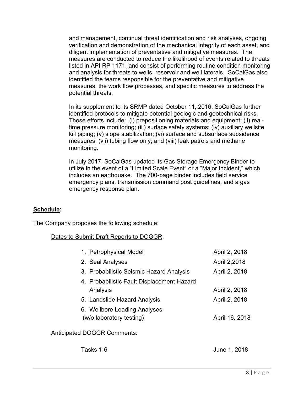and management, continual threat identification and risk analyses, ongoing verification and demonstration of the mechanical integrity of each asset, and diligent implementation of preventative and mitigative measures. The measures are conducted to reduce the likelihood of events related to threats listed in API RP 1171, and consist of performing routine condition monitoring and analysis for threats to wells, reservoir and well laterals. SoCalGas also identified the teams responsible for the preventative and mitigative measures, the work flow processes, and specific measures to address the potential threats.

In its supplement to its SRMP dated October 11, 2016, SoCalGas further identified protocols to mitigate potential geologic and geotechnical risks. Those efforts include: (i) prepositioning materials and equipment; (ii) realtime pressure monitoring; (iii) surface safety systems; (iv) auxiliary wellsite kill piping; (v) slope stabilization; (vi) surface and subsurface subsidence measures; (vii) tubing flow only; and (viii) leak patrols and methane monitoring.

In July 2017, SoCalGas updated its Gas Storage Emergency Binder to utilize in the event of a "Limited Scale Event" or a "Major Incident," which includes an earthquake. The 700-page binder includes field service emergency plans, transmission command post guidelines, and a gas emergency response plan.

#### **Schedule:**

The Company proposes the following schedule:

#### Dates to Submit Draft Reports to DOGGR:

| 1. Petrophysical Model                                   | April 2, 2018  |
|----------------------------------------------------------|----------------|
| 2. Seal Analyses                                         | April 2,2018   |
| 3. Probabilistic Seismic Hazard Analysis                 | April 2, 2018  |
| 4. Probabilistic Fault Displacement Hazard<br>Analysis   | April 2, 2018  |
| 5. Landslide Hazard Analysis                             | April 2, 2018  |
| 6. Wellbore Loading Analyses<br>(w/o laboratory testing) | April 16, 2018 |
| $\overline{1}$                                           |                |

#### Anticipated DOGGR Comments:

| Tasks 1-6 | June 1, 2018 |
|-----------|--------------|
|-----------|--------------|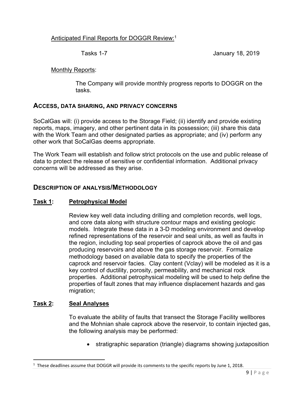# Anticipated Final Reports for DOGGR Review:1

Tasks 1-7 January 18, 2019

# Monthly Reports:

The Company will provide monthly progress reports to DOGGR on the tasks.

# **ACCESS, DATA SHARING, AND PRIVACY CONCERNS**

SoCalGas will: (i) provide access to the Storage Field; (ii) identify and provide existing reports, maps, imagery, and other pertinent data in its possession; (iii) share this data with the Work Team and other designated parties as appropriate; and (iv) perform any other work that SoCalGas deems appropriate.

The Work Team will establish and follow strict protocols on the use and public release of data to protect the release of sensitive or confidential information. Additional privacy concerns will be addressed as they arise.

# **DESCRIPTION OF ANALYSIS/METHODOLOGY**

# **Task 1: Petrophysical Model**

Review key well data including drilling and completion records, well logs, and core data along with structure contour maps and existing geologic models. Integrate these data in a 3-D modeling environment and develop refined representations of the reservoir and seal units, as well as faults in the region, including top seal properties of caprock above the oil and gas producing reservoirs and above the gas storage reservoir. Formalize methodology based on available data to specify the properties of the caprock and reservoir facies. Clay content (Vclay) will be modeled as it is a key control of ductility, porosity, permeability, and mechanical rock properties. Additional petrophysical modeling will be used to help define the properties of fault zones that may influence displacement hazards and gas migration;

#### **Task 2: Seal Analyses**

To evaluate the ability of faults that transect the Storage Facility wellbores and the Mohnian shale caprock above the reservoir, to contain injected gas, the following analysis may be performed:

stratigraphic separation (triangle) diagrams showing juxtaposition

 $1$  These deadlines assume that DOGGR will provide its comments to the specific reports by June 1, 2018.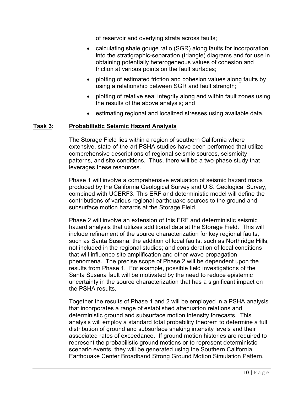of reservoir and overlying strata across faults;

- calculating shale gouge ratio (SGR) along faults for incorporation into the stratigraphic-separation (triangle) diagrams and for use in obtaining potentially heterogeneous values of cohesion and friction at various points on the fault surfaces;
- plotting of estimated friction and cohesion values along faults by using a relationship between SGR and fault strength;
- plotting of relative seal integrity along and within fault zones using the results of the above analysis; and
- **EXECT:** estimating regional and localized stresses using available data.

#### **Task 3: Probabilistic Seismic Hazard Analysis**

 The Storage Field lies within a region of southern California where extensive, state-of-the-art PSHA studies have been performed that utilize comprehensive descriptions of regional seismic sources, seismicity patterns, and site conditions. Thus, there will be a two-phase study that leverages these resources.

 Phase 1 will involve a comprehensive evaluation of seismic hazard maps produced by the California Geological Survey and U.S. Geological Survey, combined with UCERF3. This ERF and deterministic model will define the contributions of various regional earthquake sources to the ground and subsurface motion hazards at the Storage Field.

Phase 2 will involve an extension of this ERF and deterministic seismic hazard analysis that utilizes additional data at the Storage Field. This will include refinement of the source characterization for key regional faults, such as Santa Susana; the addition of local faults, such as Northridge Hills, not included in the regional studies; and consideration of local conditions that will influence site amplification and other wave propagation phenomena. The precise scope of Phase 2 will be dependent upon the results from Phase 1. For example, possible field investigations of the Santa Susana fault will be motivated by the need to reduce epistemic uncertainty in the source characterization that has a significant impact on the PSHA results.

Together the results of Phase 1 and 2 will be employed in a PSHA analysis that incorporates a range of established attenuation relations and deterministic ground and subsurface motion intensity forecasts. This analysis will employ a standard total probability theorem to determine a full distribution of ground and subsurface shaking intensity levels and their associated rates of exceedance. If ground motion histories are required to represent the probabilistic ground motions or to represent deterministic scenario events, they will be generated using the Southern California Earthquake Center Broadband Strong Ground Motion Simulation Pattern.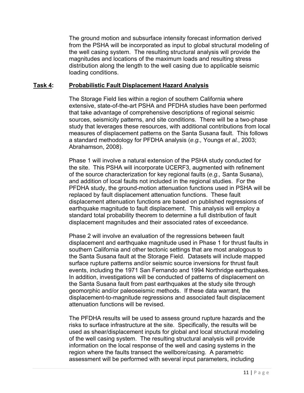The ground motion and subsurface intensity forecast information derived from the PSHA will be incorporated as input to global structural modeling of the well casing system. The resulting structural analysis will provide the magnitudes and locations of the maximum loads and resulting stress distribution along the length to the well casing due to applicable seismic loading conditions.

#### **Task 4: Probabilistic Fault Displacement Hazard Analysis**

 The Storage Field lies within a region of southern California where extensive, state-of-the-art PSHA and PFDHA studies have been performed that take advantage of comprehensive descriptions of regional seismic sources, seismicity patterns, and site conditions. There will be a two-phase study that leverages these resources, with additional contributions from local measures of displacement patterns on the Santa Susana fault. This follows a standard methodology for PFDHA analysis (*e.g.,* Youngs *et al.*, 2003; Abrahamson, 2008).

Phase 1 will involve a natural extension of the PSHA study conducted for the site. This PSHA will incorporate UCERF3, augmented with refinement of the source characterization for key regional faults (*e.g.,* Santa Susana), and addition of local faults not included in the regional studies. For the PFDHA study, the ground-motion attenuation functions used in PSHA will be replaced by fault displacement attenuation functions. These fault displacement attenuation functions are based on published regressions of earthquake magnitude to fault displacement. This analysis will employ a standard total probability theorem to determine a full distribution of fault displacement magnitudes and their associated rates of exceedance.

 Phase 2 will involve an evaluation of the regressions between fault displacement and earthquake magnitude used in Phase 1 for thrust faults in southern California and other tectonic settings that are most analogous to the Santa Susana fault at the Storage Field. Datasets will include mapped surface rupture patterns and/or seismic source inversions for thrust fault events, including the 1971 San Fernando and 1994 Northridge earthquakes. In addition, investigations will be conducted of patterns of displacement on the Santa Susana fault from past earthquakes at the study site through geomorphic and/or paleoseismic methods. If these data warrant, the displacement-to-magnitude regressions and associated fault displacement attenuation functions will be revised.

 The PFDHA results will be used to assess ground rupture hazards and the risks to surface infrastructure at the site. Specifically, the results will be used as shear/displacement inputs for global and local structural modeling of the well casing system. The resulting structural analysis will provide information on the local response of the well and casing systems in the region where the faults transect the wellbore/casing. A parametric assessment will be performed with several input parameters, including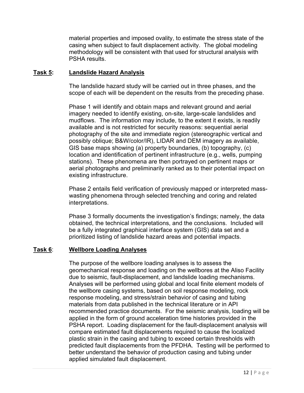material properties and imposed ovality, to estimate the stress state of the casing when subject to fault displacement activity. The global modeling methodology will be consistent with that used for structural analysis with PSHA results.

#### **Task 5: Landslide Hazard Analysis**

The landslide hazard study will be carried out in three phases, and the scope of each will be dependent on the results from the preceding phase.

Phase 1 will identify and obtain maps and relevant ground and aerial imagery needed to identify existing, on-site, large-scale landslides and mudflows. The information may include, to the extent it exists, is readily available and is not restricted for security reasons: sequential aerial photography of the site and immediate region (stereographic vertical and possibly oblique; B&W/color/IR), LIDAR and DEM imagery as available, GIS base maps showing (a) property boundaries, (b) topography, (c) location and identification of pertinent infrastructure (e.g., wells, pumping stations). These phenomena are then portrayed on pertinent maps or aerial photographs and preliminarily ranked as to their potential impact on existing infrastructure.

Phase 2 entails field verification of previously mapped or interpreted masswasting phenomena through selected trenching and coring and related interpretations.

Phase 3 formally documents the investigation's findings; namely, the data obtained, the technical interpretations, and the conclusions. Included will be a fully integrated graphical interface system (GIS) data set and a prioritized listing of landslide hazard areas and potential impacts.

# **Task 6**: **Wellbore Loading Analyses**

 The purpose of the wellbore loading analyses is to assess the geomechanical response and loading on the wellbores at the Aliso Facility due to seismic, fault-displacement, and landslide loading mechanisms. Analyses will be performed using global and local finite element models of the wellbore casing systems, based on soil response modeling, rock response modeling, and stress/strain behavior of casing and tubing materials from data published in the technical literature or in API recommended practice documents. For the seismic analysis, loading will be applied in the form of ground acceleration time histories provided in the PSHA report. Loading displacement for the fault-displacement analysis will compare estimated fault displacements required to cause the localized plastic strain in the casing and tubing to exceed certain thresholds with predicted fault displacements from the PFDHA. Testing will be performed to better understand the behavior of production casing and tubing under applied simulated fault displacement.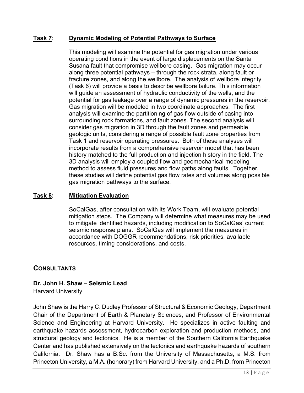# **Task 7**: **Dynamic Modeling of Potential Pathways to Surface**

This modeling will examine the potential for gas migration under various operating conditions in the event of large displacements on the Santa Susana fault that compromise wellbore casing. Gas migration may occur along three potential pathways – through the rock strata, along fault or fracture zones, and along the wellbore. The analysis of wellbore integrity (Task 6) will provide a basis to describe wellbore failure. This information will guide an assessment of hydraulic conductivity of the wells, and the potential for gas leakage over a range of dynamic pressures in the reservoir. Gas migration will be modeled in two coordinate approaches. The first analysis will examine the partitioning of gas flow outside of casing into surrounding rock formations, and fault zones. The second analysis will consider gas migration in 3D through the fault zones and permeable geologic units, considering a range of possible fault zone properties from Task 1 and reservoir operating pressures. Both of these analyses will incorporate results from a comprehensive reservoir model that has been history matched to the full production and injection history in the field. The 3D analysis will employ a coupled flow and geomechanical modeling method to assess fluid pressures and flow paths along faults. Together, these studies will define potential gas flow rates and volumes along possible gas migration pathways to the surface.

#### **Task 8: Mitigation Evaluation**

SoCalGas, after consultation with its Work Team, will evaluate potential mitigation steps. The Company will determine what measures may be used to mitigate identified hazards, including modification to SoCalGas' current seismic response plans. SoCalGas will implement the measures in accordance with DOGGR recommendations, risk priorities, available resources, timing considerations, and costs.

# **CONSULTANTS**

# **Dr. John H. Shaw – Seismic Lead**

Harvard University

John Shaw is the Harry C. Dudley Professor of Structural & Economic Geology, Department Chair of the Department of Earth & Planetary Sciences, and Professor of Environmental Science and Engineering at Harvard University. He specializes in active faulting and earthquake hazards assessment, hydrocarbon exploration and production methods, and structural geology and tectonics. He is a member of the Southern California Earthquake Center and has published extensively on the tectonics and earthquake hazards of southern California. Dr. Shaw has a B.Sc. from the University of Massachusetts, a M.S. from Princeton University, a M.A. (honorary) from Harvard University, and a Ph.D. from Princeton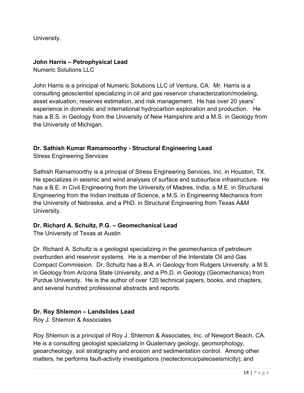University.

# **John Harris – Petrophysical Lead**

Numeric Solutions LLC

John Harris is a principal of Numeric Solutions LLC of Ventura, CA. Mr. Harris is a consulting geoscientist specializing in oil and gas reservoir characterization/modeling, asset evaluation, reserves estimation, and risk management. He has over 20 years' experience in domestic and international hydrocarbon exploration and production. He has a B.S. in Geology from the University of New Hampshire and a M.S. in Geology from the University of Michigan.

# **Dr. Sathish Kumar Ramamoorthy - Structural Engineering Lead**

Stress Engineering Services

Sathish Ramamoorthy is a principal of Stress Engineering Services, Inc. in Houston, TX. He specializes in seismic and wind analyses of surface and subsurface infrastructure. He has a B.E. in Civil Engineering from the University of Madres, India, a M.E. in Structural Engineering from the Indian Institute of Science, a M.S. in Engineering Mechanics from the University of Nebraska, and a PhD. in Structural Engineering from Texas A&M University.

# **Dr. Richard A. Schultz, P.G. – Geomechanical Lead**

The University of Texas at Austin

Dr. Richard A. Schultz is a geologist specializing in the geomechanics of petroleum overburden and reservoir systems. He is a member of the Interstate Oil and Gas Compact Commission. Dr. Schultz has a B.A. in Geology from Rutgers University, a M.S. in Geology from Arizona State University, and a Ph.D. in Geology (Geomechanics) from Purdue University. He is the author of over 120 technical papers, books, and chapters, and several hundred professional abstracts and reports.

# **Dr. Roy Shlemon – Landslides Lead**

Roy J. Shlemon & Associates

Roy Shlemon is a principal of Roy J. Shlemon & Associates, Inc. of Newport Beach, CA. He is a consulting geologist specializing in Quaternary geology, geomorphology, geoarcheology, soil stratigraphy and erosion and sedimentation control. Among other matters, he performs fault-activity investigations (neotectonics/paleoseismicity); and